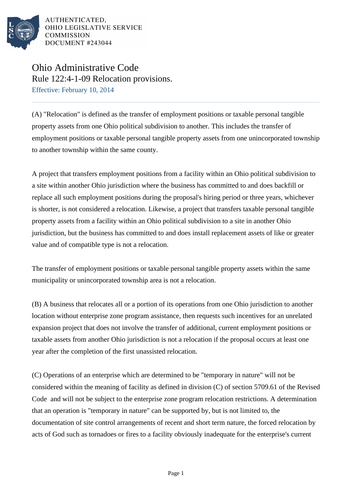

AUTHENTICATED. OHIO LEGISLATIVE SERVICE COMMISSION DOCUMENT #243044

## Ohio Administrative Code Rule 122:4-1-09 Relocation provisions.

Effective: February 10, 2014

(A) "Relocation" is defined as the transfer of employment positions or taxable personal tangible property assets from one Ohio political subdivision to another. This includes the transfer of employment positions or taxable personal tangible property assets from one unincorporated township to another township within the same county.

A project that transfers employment positions from a facility within an Ohio political subdivision to a site within another Ohio jurisdiction where the business has committed to and does backfill or replace all such employment positions during the proposal's hiring period or three years, whichever is shorter, is not considered a relocation. Likewise, a project that transfers taxable personal tangible property assets from a facility within an Ohio political subdivision to a site in another Ohio jurisdiction, but the business has committed to and does install replacement assets of like or greater value and of compatible type is not a relocation.

The transfer of employment positions or taxable personal tangible property assets within the same municipality or unincorporated township area is not a relocation.

(B) A business that relocates all or a portion of its operations from one Ohio jurisdiction to another location without enterprise zone program assistance, then requests such incentives for an unrelated expansion project that does not involve the transfer of additional, current employment positions or taxable assets from another Ohio jurisdiction is not a relocation if the proposal occurs at least one year after the completion of the first unassisted relocation.

(C) Operations of an enterprise which are determined to be "temporary in nature" will not be considered within the meaning of facility as defined in division (C) of section 5709.61 of the Revised Code and will not be subject to the enterprise zone program relocation restrictions. A determination that an operation is "temporary in nature" can be supported by, but is not limited to, the documentation of site control arrangements of recent and short term nature, the forced relocation by acts of God such as tornadoes or fires to a facility obviously inadequate for the enterprise's current